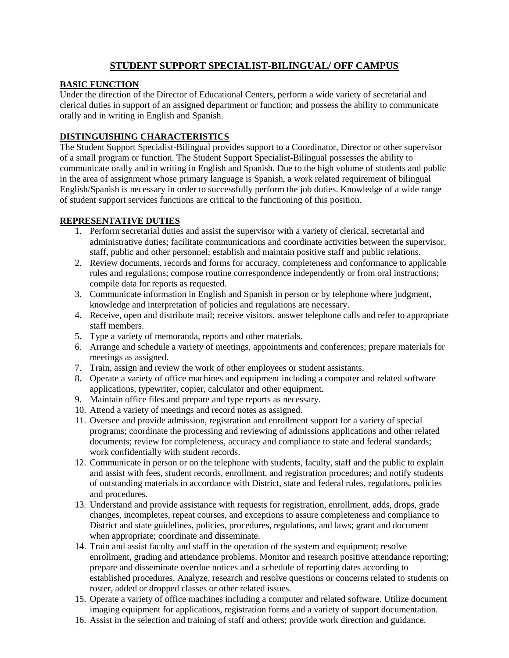# **STUDENT SUPPORT SPECIALIST-BILINGUAL/ OFF CAMPUS**

## **BASIC FUNCTION**

Under the direction of the Director of Educational Centers, perform a wide variety of secretarial and clerical duties in support of an assigned department or function; and possess the ability to communicate orally and in writing in English and Spanish.

# **DISTINGUISHING CHARACTERISTICS**

The Student Support Specialist-Bilingual provides support to a Coordinator, Director or other supervisor of a small program or function. The Student Support Specialist-Bilingual possesses the ability to communicate orally and in writing in English and Spanish. Due to the high volume of students and public in the area of assignment whose primary language is Spanish, a work related requirement of bilingual English/Spanish is necessary in order to successfully perform the job duties. Knowledge of a wide range of student support services functions are critical to the functioning of this position.

## **REPRESENTATIVE DUTIES**

- 1. Perform secretarial duties and assist the supervisor with a variety of clerical, secretarial and administrative duties; facilitate communications and coordinate activities between the supervisor, staff, public and other personnel; establish and maintain positive staff and public relations.
- 2. Review documents, records and forms for accuracy, completeness and conformance to applicable rules and regulations; compose routine correspondence independently or from oral instructions; compile data for reports as requested.
- 3. Communicate information in English and Spanish in person or by telephone where judgment, knowledge and interpretation of policies and regulations are necessary.
- 4. Receive, open and distribute mail; receive visitors, answer telephone calls and refer to appropriate staff members.
- 5. Type a variety of memoranda, reports and other materials.
- 6. Arrange and schedule a variety of meetings, appointments and conferences; prepare materials for meetings as assigned.
- 7. Train, assign and review the work of other employees or student assistants.
- 8. Operate a variety of office machines and equipment including a computer and related software applications, typewriter, copier, calculator and other equipment.
- 9. Maintain office files and prepare and type reports as necessary.
- 10. Attend a variety of meetings and record notes as assigned.
- 11. Oversee and provide admission, registration and enrollment support for a variety of special programs; coordinate the processing and reviewing of admissions applications and other related documents; review for completeness, accuracy and compliance to state and federal standards; work confidentially with student records.
- 12. Communicate in person or on the telephone with students, faculty, staff and the public to explain and assist with fees, student records, enrollment, and registration procedures; and notify students of outstanding materials in accordance with District, state and federal rules, regulations, policies and procedures.
- 13. Understand and provide assistance with requests for registration, enrollment, adds, drops, grade changes, incompletes, repeat courses, and exceptions to assure completeness and compliance to District and state guidelines, policies, procedures, regulations, and laws; grant and document when appropriate; coordinate and disseminate.
- 14. Train and assist faculty and staff in the operation of the system and equipment; resolve enrollment, grading and attendance problems. Monitor and research positive attendance reporting; prepare and disseminate overdue notices and a schedule of reporting dates according to established procedures. Analyze, research and resolve questions or concerns related to students on roster, added or dropped classes or other related issues.
- 15. Operate a variety of office machines including a computer and related software. Utilize document imaging equipment for applications, registration forms and a variety of support documentation.
- 16. Assist in the selection and training of staff and others; provide work direction and guidance.